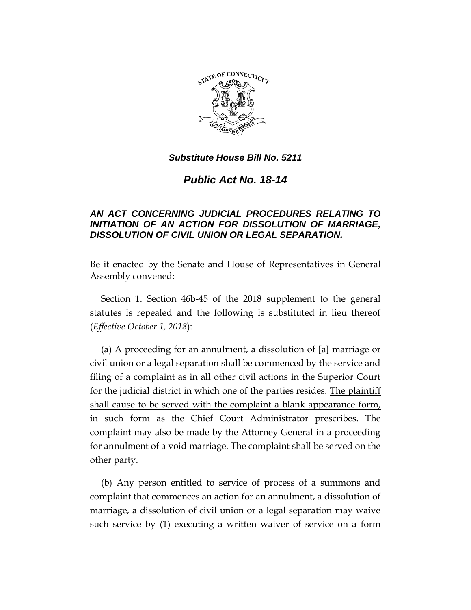

*Public Act No. 18-14*

# *AN ACT CONCERNING JUDICIAL PROCEDURES RELATING TO INITIATION OF AN ACTION FOR DISSOLUTION OF MARRIAGE, DISSOLUTION OF CIVIL UNION OR LEGAL SEPARATION.*

Be it enacted by the Senate and House of Representatives in General Assembly convened:

Section 1. Section 46b-45 of the 2018 supplement to the general statutes is repealed and the following is substituted in lieu thereof (*Effective October 1, 2018*):

(a) A proceeding for an annulment, a dissolution of **[**a**]** marriage or civil union or a legal separation shall be commenced by the service and filing of a complaint as in all other civil actions in the Superior Court for the judicial district in which one of the parties resides. The plaintiff shall cause to be served with the complaint a blank appearance form, in such form as the Chief Court Administrator prescribes. The complaint may also be made by the Attorney General in a proceeding for annulment of a void marriage. The complaint shall be served on the other party.

(b) Any person entitled to service of process of a summons and complaint that commences an action for an annulment, a dissolution of marriage, a dissolution of civil union or a legal separation may waive such service by (1) executing a written waiver of service on a form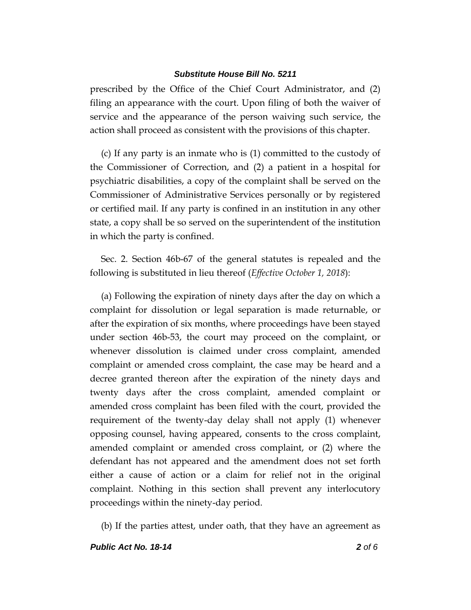prescribed by the Office of the Chief Court Administrator, and (2) filing an appearance with the court. Upon filing of both the waiver of service and the appearance of the person waiving such service, the action shall proceed as consistent with the provisions of this chapter.

(c) If any party is an inmate who is (1) committed to the custody of the Commissioner of Correction, and (2) a patient in a hospital for psychiatric disabilities, a copy of the complaint shall be served on the Commissioner of Administrative Services personally or by registered or certified mail. If any party is confined in an institution in any other state, a copy shall be so served on the superintendent of the institution in which the party is confined.

Sec. 2. Section 46b-67 of the general statutes is repealed and the following is substituted in lieu thereof (*Effective October 1, 2018*):

(a) Following the expiration of ninety days after the day on which a complaint for dissolution or legal separation is made returnable, or after the expiration of six months, where proceedings have been stayed under section 46b-53, the court may proceed on the complaint, or whenever dissolution is claimed under cross complaint, amended complaint or amended cross complaint, the case may be heard and a decree granted thereon after the expiration of the ninety days and twenty days after the cross complaint, amended complaint or amended cross complaint has been filed with the court, provided the requirement of the twenty-day delay shall not apply (1) whenever opposing counsel, having appeared, consents to the cross complaint, amended complaint or amended cross complaint, or (2) where the defendant has not appeared and the amendment does not set forth either a cause of action or a claim for relief not in the original complaint. Nothing in this section shall prevent any interlocutory proceedings within the ninety-day period.

(b) If the parties attest, under oath, that they have an agreement as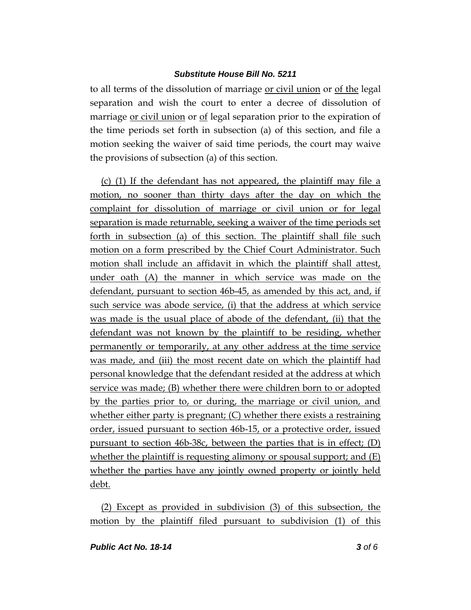to all terms of the dissolution of marriage or civil union or of the legal separation and wish the court to enter a decree of dissolution of marriage or civil union or of legal separation prior to the expiration of the time periods set forth in subsection (a) of this section, and file a motion seeking the waiver of said time periods, the court may waive the provisions of subsection (a) of this section.

(c) (1) If the defendant has not appeared, the plaintiff may file a motion, no sooner than thirty days after the day on which the complaint for dissolution of marriage or civil union or for legal separation is made returnable, seeking a waiver of the time periods set forth in subsection (a) of this section. The plaintiff shall file such motion on a form prescribed by the Chief Court Administrator. Such motion shall include an affidavit in which the plaintiff shall attest, under oath (A) the manner in which service was made on the defendant, pursuant to section 46b-45, as amended by this act, and, if such service was abode service, (i) that the address at which service was made is the usual place of abode of the defendant, (ii) that the defendant was not known by the plaintiff to be residing, whether permanently or temporarily, at any other address at the time service was made, and (iii) the most recent date on which the plaintiff had personal knowledge that the defendant resided at the address at which service was made; (B) whether there were children born to or adopted by the parties prior to, or during, the marriage or civil union, and whether either party is pregnant; (C) whether there exists a restraining order, issued pursuant to section 46b-15, or a protective order, issued pursuant to section 46b-38c, between the parties that is in effect; (D) whether the plaintiff is requesting alimony or spousal support; and (E) whether the parties have any jointly owned property or jointly held debt.

(2) Except as provided in subdivision (3) of this subsection, the motion by the plaintiff filed pursuant to subdivision (1) of this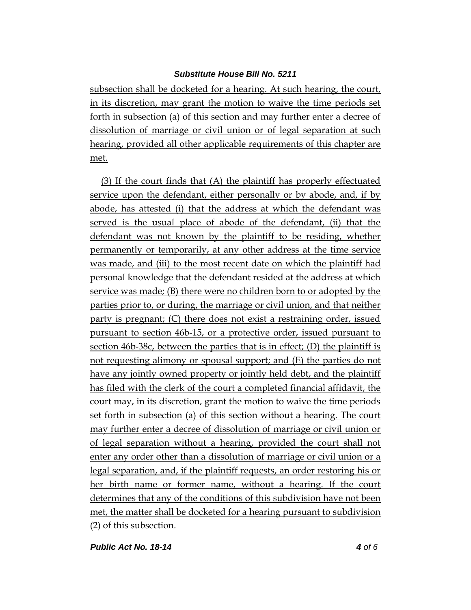subsection shall be docketed for a hearing. At such hearing, the court, in its discretion, may grant the motion to waive the time periods set forth in subsection (a) of this section and may further enter a decree of dissolution of marriage or civil union or of legal separation at such hearing, provided all other applicable requirements of this chapter are met.

(3) If the court finds that (A) the plaintiff has properly effectuated service upon the defendant, either personally or by abode, and, if by abode, has attested (i) that the address at which the defendant was served is the usual place of abode of the defendant, (ii) that the defendant was not known by the plaintiff to be residing, whether permanently or temporarily, at any other address at the time service was made, and (iii) to the most recent date on which the plaintiff had personal knowledge that the defendant resided at the address at which service was made; (B) there were no children born to or adopted by the parties prior to, or during, the marriage or civil union, and that neither party is pregnant; (C) there does not exist a restraining order, issued pursuant to section 46b-15, or a protective order, issued pursuant to section 46b-38c, between the parties that is in effect; (D) the plaintiff is not requesting alimony or spousal support; and (E) the parties do not have any jointly owned property or jointly held debt, and the plaintiff has filed with the clerk of the court a completed financial affidavit, the court may, in its discretion, grant the motion to waive the time periods set forth in subsection (a) of this section without a hearing. The court may further enter a decree of dissolution of marriage or civil union or of legal separation without a hearing, provided the court shall not enter any order other than a dissolution of marriage or civil union or a legal separation, and, if the plaintiff requests, an order restoring his or her birth name or former name, without a hearing. If the court determines that any of the conditions of this subdivision have not been met, the matter shall be docketed for a hearing pursuant to subdivision (2) of this subsection.

*Public Act No. 18-14 4 of 6*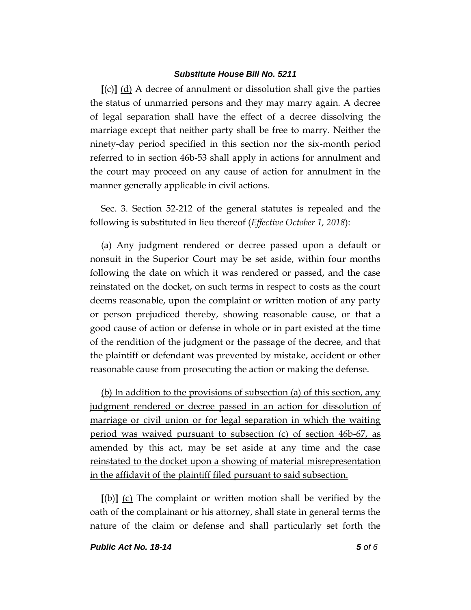**[**(c)**]** (d) A decree of annulment or dissolution shall give the parties the status of unmarried persons and they may marry again. A decree of legal separation shall have the effect of a decree dissolving the marriage except that neither party shall be free to marry. Neither the ninety-day period specified in this section nor the six-month period referred to in section 46b-53 shall apply in actions for annulment and the court may proceed on any cause of action for annulment in the manner generally applicable in civil actions.

Sec. 3. Section 52-212 of the general statutes is repealed and the following is substituted in lieu thereof (*Effective October 1, 2018*):

(a) Any judgment rendered or decree passed upon a default or nonsuit in the Superior Court may be set aside, within four months following the date on which it was rendered or passed, and the case reinstated on the docket, on such terms in respect to costs as the court deems reasonable, upon the complaint or written motion of any party or person prejudiced thereby, showing reasonable cause, or that a good cause of action or defense in whole or in part existed at the time of the rendition of the judgment or the passage of the decree, and that the plaintiff or defendant was prevented by mistake, accident or other reasonable cause from prosecuting the action or making the defense.

(b) In addition to the provisions of subsection (a) of this section, any judgment rendered or decree passed in an action for dissolution of marriage or civil union or for legal separation in which the waiting period was waived pursuant to subsection (c) of section 46b-67, as amended by this act, may be set aside at any time and the case reinstated to the docket upon a showing of material misrepresentation in the affidavit of the plaintiff filed pursuant to said subsection.

**[**(b)**]** (c) The complaint or written motion shall be verified by the oath of the complainant or his attorney, shall state in general terms the nature of the claim or defense and shall particularly set forth the